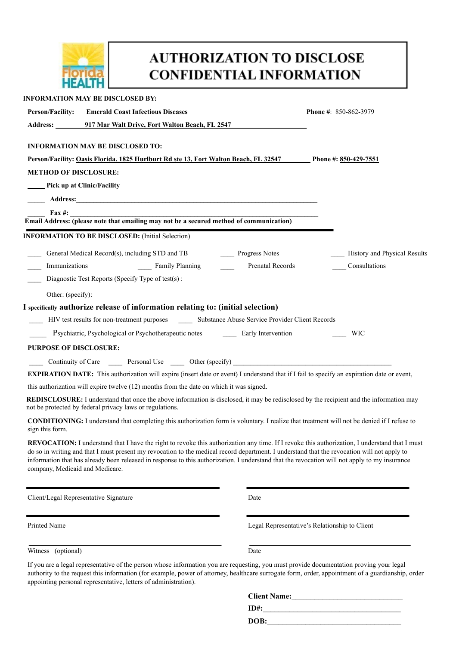

appointing personal representative, letters of administration).

## **AUTHORIZATION TO DISCLOSE CONFIDENTIAL INFORMATION**

| <b>INFORMATION MAY BE DISCLOSED BY:</b>                                                                                                                                                                                                                                                                                                                                                                                                                                           |                                                                                                                                                   |  |
|-----------------------------------------------------------------------------------------------------------------------------------------------------------------------------------------------------------------------------------------------------------------------------------------------------------------------------------------------------------------------------------------------------------------------------------------------------------------------------------|---------------------------------------------------------------------------------------------------------------------------------------------------|--|
| <b>Person/Facility:</b> Emerald Coast Infectious Diseases                                                                                                                                                                                                                                                                                                                                                                                                                         | <b>Phone #: 850-862-3979</b>                                                                                                                      |  |
| Address: 917 Mar Walt Drive, Fort Walton Beach, FL 2547                                                                                                                                                                                                                                                                                                                                                                                                                           |                                                                                                                                                   |  |
| <b>INFORMATION MAY BE DISCLOSED TO:</b>                                                                                                                                                                                                                                                                                                                                                                                                                                           |                                                                                                                                                   |  |
| Person/Facility: Oasis Florida. 1825 Hurlburt Rd ste 13, Fort Walton Beach, FL 32547 Phone #: 850-429-7551                                                                                                                                                                                                                                                                                                                                                                        |                                                                                                                                                   |  |
| <b>METHOD OF DISCLOSURE:</b>                                                                                                                                                                                                                                                                                                                                                                                                                                                      |                                                                                                                                                   |  |
| <b>EXAMPLE Pick up at Clinic/Facility</b>                                                                                                                                                                                                                                                                                                                                                                                                                                         |                                                                                                                                                   |  |
|                                                                                                                                                                                                                                                                                                                                                                                                                                                                                   |                                                                                                                                                   |  |
| <b>Email Address:</b> (please note that emailing may not be a secured method of communication)                                                                                                                                                                                                                                                                                                                                                                                    |                                                                                                                                                   |  |
|                                                                                                                                                                                                                                                                                                                                                                                                                                                                                   |                                                                                                                                                   |  |
| <b>INFORMATION TO BE DISCLOSED:</b> (Initial Selection)                                                                                                                                                                                                                                                                                                                                                                                                                           |                                                                                                                                                   |  |
| General Medical Record(s), including STD and TB Progress Notes                                                                                                                                                                                                                                                                                                                                                                                                                    | - History and Physical Results                                                                                                                    |  |
| Family Planning<br>Immunizations                                                                                                                                                                                                                                                                                                                                                                                                                                                  | Prenatal Records<br>Consultations                                                                                                                 |  |
| Diagnostic Test Reports (Specify Type of test(s):                                                                                                                                                                                                                                                                                                                                                                                                                                 |                                                                                                                                                   |  |
| Other: (specify):                                                                                                                                                                                                                                                                                                                                                                                                                                                                 |                                                                                                                                                   |  |
| I specifically authorize release of information relating to: (initial selection)                                                                                                                                                                                                                                                                                                                                                                                                  |                                                                                                                                                   |  |
| HIV test results for non-treatment purposes ________ Substance Abuse Service Provider Client Records                                                                                                                                                                                                                                                                                                                                                                              |                                                                                                                                                   |  |
| Psychiatric, Psychological or Psychotherapeutic notes Early Intervention                                                                                                                                                                                                                                                                                                                                                                                                          | WIC                                                                                                                                               |  |
| <b>PURPOSE OF DISCLOSURE:</b>                                                                                                                                                                                                                                                                                                                                                                                                                                                     |                                                                                                                                                   |  |
| Continuity of Care Personal Use https://www.com/en/continuity of Care Personal Use https://www.com/en/com/en/com/en/com/en/com/en/com/en/com/en/com/en/com/en/com/en/com/en/com/en/com/en/com/en/com/en/com/en/com/en/com/en/c                                                                                                                                                                                                                                                    |                                                                                                                                                   |  |
| <b>EXPIRATION DATE:</b> This authorization will expire (insert date or event) I understand that if I fail to specify an expiration date or event,                                                                                                                                                                                                                                                                                                                                 |                                                                                                                                                   |  |
| this authorization will expire twelve (12) months from the date on which it was signed.                                                                                                                                                                                                                                                                                                                                                                                           |                                                                                                                                                   |  |
| REDISCLOSURE: I understand that once the above information is disclosed, it may be redisclosed by the recipient and the information may<br>not be protected by federal privacy laws or regulations.                                                                                                                                                                                                                                                                               |                                                                                                                                                   |  |
| <b>CONDITIONING:</b> I understand that completing this authorization form is voluntary. I realize that treatment will not be denied if I refuse to<br>sign this form.                                                                                                                                                                                                                                                                                                             |                                                                                                                                                   |  |
| REVOCATION: I understand that I have the right to revoke this authorization any time. If I revoke this authorization, I understand that I must<br>do so in writing and that I must present my revocation to the medical record department. I understand that the revocation will not apply to<br>information that has already been released in response to this authorization. I understand that the revocation will not apply to my insurance<br>company, Medicaid and Medicare. |                                                                                                                                                   |  |
| Client/Legal Representative Signature                                                                                                                                                                                                                                                                                                                                                                                                                                             | Date                                                                                                                                              |  |
| Printed Name                                                                                                                                                                                                                                                                                                                                                                                                                                                                      | Legal Representative's Relationship to Client                                                                                                     |  |
| Witness (optional)                                                                                                                                                                                                                                                                                                                                                                                                                                                                | Date                                                                                                                                              |  |
| If you are a legal representative of the person whose information you are requesting, you must provide documentation proving your legal                                                                                                                                                                                                                                                                                                                                           | authority to the request this information (for example, power of attorney, healthcare surrogate form, order, appointment of a guardianship, order |  |

| <b>Client Name:</b> |  |  |
|---------------------|--|--|
| $ID#$ :             |  |  |
| DOB:                |  |  |